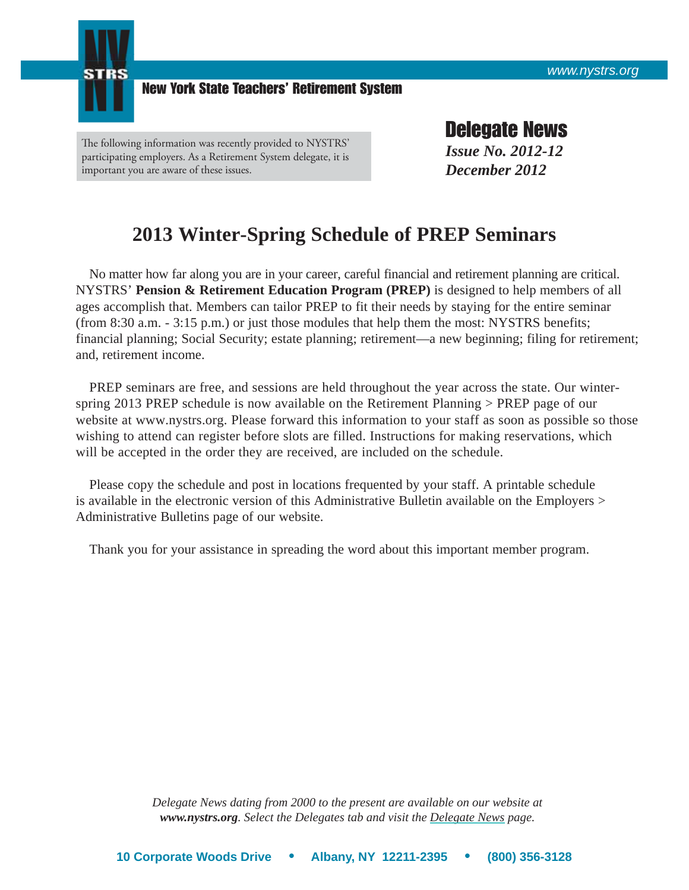

New York State Teachers' Retirement System

The following information was recently provided to NYSTRS' participating employers. As a Retirement System delegate, it is important you are aware of these issues.

Delegate News *Issue No. 2012-12 December 2012*

## **2013 Winter-Spring Schedule of PREP Seminars**

 No matter how far along you are in your career, careful financial and retirement planning are critical. NYSTRS' **Pension & Retirement Education Program (PREP)** is designed to help members of all ages accomplish that. Members can tailor PREP to fit their needs by staying for the entire seminar (from 8:30 a.m. - 3:15 p.m.) or just those modules that help them the most: NYSTRS benefits; financial planning; Social Security; estate planning; retirement—a new beginning; filing for retirement; and, retirement income.

PREP seminars are free, and sessions are held throughout the year across the state. Our winterspring 2013 PREP schedule is now available on the Retirement Planning [> PREP page](https://www.nystrs.org/Retirement-Planning/Pension-Retirement-Education-Program) of our website at www.nystrs.org. Please forward this information to your staff as soon as possible so those wishing to attend can register before slots are filled. Instructions for making reservations, which will be accepted in the order they are received, are included on the schedule.

 Please copy the schedule and post in locations frequented by your staff. A printable schedule is available in the electronic version of this Administrative Bulletin available on the Employers > [Administrative Bulletins page](https://www.nystrs.org/Employers/Administrative-Bulletins) of our website.

Thank you for your assistance in spreading the word about this important member program.

*Delegate News dating from 2000 to the present are available on our website at www.nystrs.org. Select the Delegates tab and visit th[e Delegate News](https://www.nystrs.org/Delegates/Delegate-News) page.*